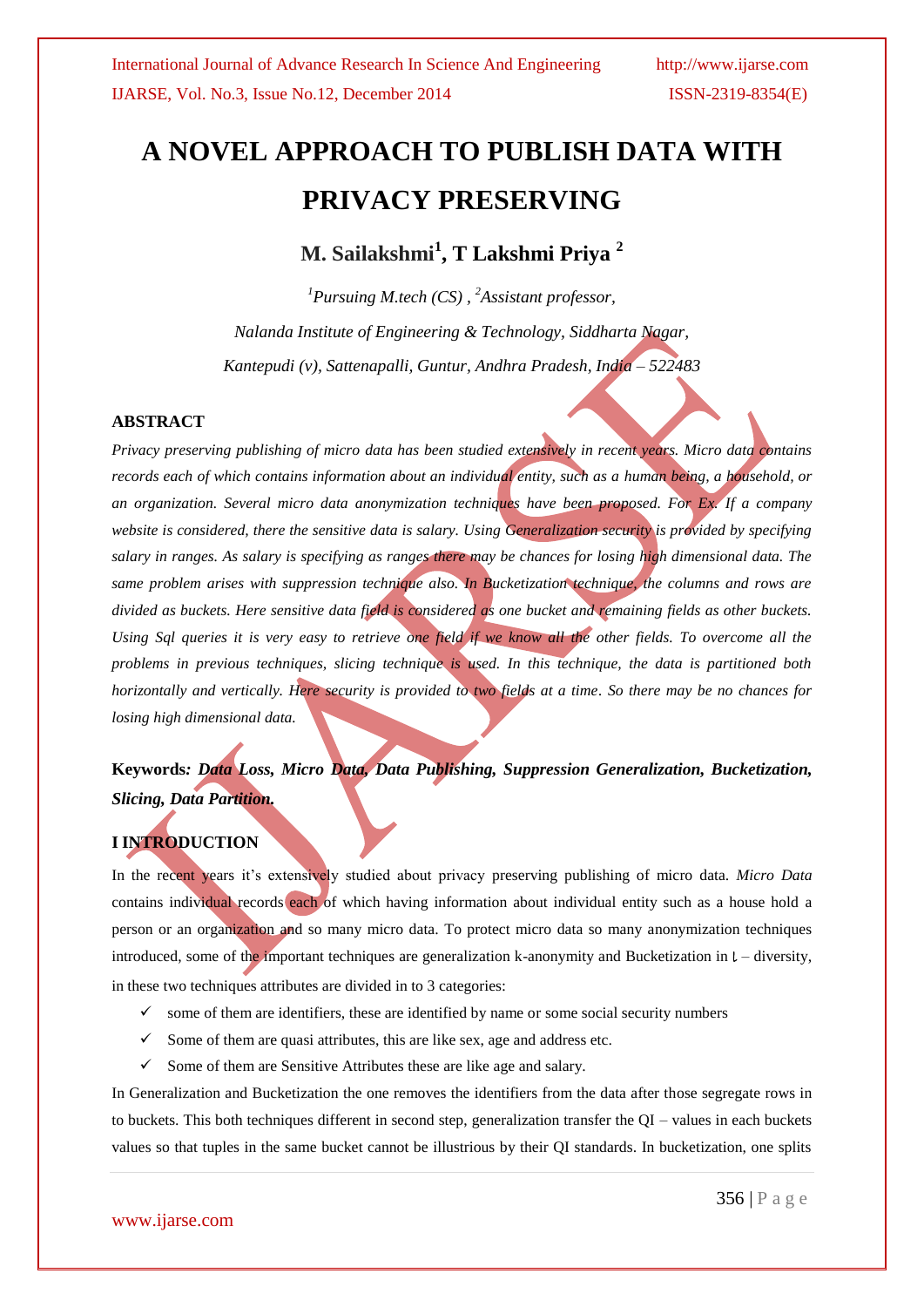# **A NOVEL APPROACH TO PUBLISH DATA WITH PRIVACY PRESERVING**

**M. Sailakshmi<sup>1</sup> , T Lakshmi Priya <sup>2</sup>**

*<sup>1</sup>Pursuing M.tech (CS) , <sup>2</sup>Assistant professor, Nalanda Institute of Engineering & Technology, Siddharta Nagar, Kantepudi (v), Sattenapalli, Guntur, Andhra Pradesh, India – 522483*

### **ABSTRACT**

*Privacy preserving publishing of micro data has been studied extensively in recent years. Micro data contains records each of which contains information about an individual entity, such as a human being, a household, or an organization. Several micro data anonymization techniques have been proposed. For Ex. If a company website is considered, there the sensitive data is salary. Using Generalization security is provided by specifying salary in ranges. As salary is specifying as ranges there may be chances for losing high dimensional data. The same problem arises with suppression technique also. In Bucketization technique, the columns and rows are divided as buckets. Here sensitive data field is considered as one bucket and remaining fields as other buckets. Using Sql queries it is very easy to retrieve one field if we know all the other fields. To overcome all the problems in previous techniques, slicing technique is used. In this technique, the data is partitioned both horizontally and vertically. Here security is provided to two fields at a time. So there may be no chances for losing high dimensional data.*

# **Keywords***: Data Loss, Micro Data, Data Publishing, Suppression Generalization, Bucketization, Slicing, Data Partition.*

# **I INTRODUCTION**

In the recent years it's extensively studied about privacy preserving publishing of micro data. *Micro Data* contains individual records each of which having information about individual entity such as a house hold a person or an organization and so many micro data. To protect micro data so many anonymization techniques introduced, some of the important techniques are generalization k-anonymity and Bucketization in  $l$  – diversity, in these two techniques attributes are divided in to 3 categories:

- $\checkmark$  some of them are identifiers, these are identified by name or some social security numbers
- $\checkmark$  Some of them are quasi attributes, this are like sex, age and address etc.
- $\checkmark$  Some of them are Sensitive Attributes these are like age and salary.

In Generalization and Bucketization the one removes the identifiers from the data after those segregate rows in to buckets. This both techniques different in second step, generalization transfer the QI – values in each buckets values so that tuples in the same bucket cannot be illustrious by their QI standards. In bucketization, one splits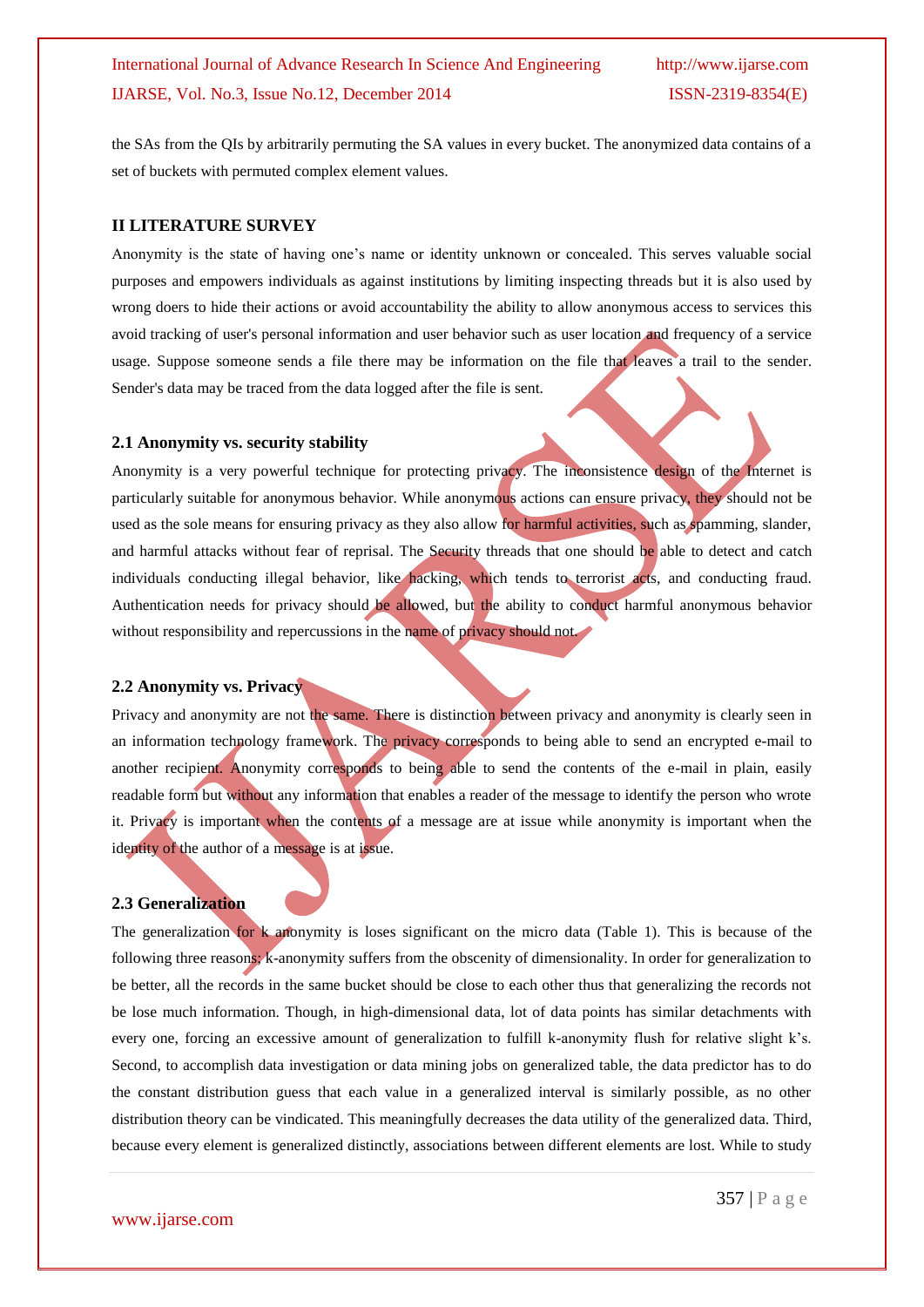the SAs from the QIs by arbitrarily permuting the SA values in every bucket. The anonymized data contains of a set of buckets with permuted complex element values.

### **II LITERATURE SURVEY**

Anonymity is the state of having one's name or identity unknown or concealed. This serves valuable social purposes and empowers individuals as against institutions by limiting inspecting threads but it is also used by wrong doers to hide their actions or avoid accountability the ability to allow anonymous access to services this avoid tracking of user's personal information and user behavior such as user location and frequency of a service usage. Suppose someone sends a file there may be information on the file that leaves a trail to the sender. Sender's data may be traced from the data logged after the file is sent.

### **2.1 Anonymity vs. security stability**

Anonymity is a very powerful technique for protecting privacy. The inconsistence design of the Internet is particularly suitable for anonymous behavior. While anonymous actions can ensure privacy, they should not be used as the sole means for ensuring privacy as they also allow for harmful activities, such as spamming, slander, and harmful attacks without fear of reprisal. The Security threads that one should be able to detect and catch individuals conducting illegal behavior, like hacking, which tends to terrorist acts, and conducting fraud. Authentication needs for privacy should be allowed, but the ability to conduct harmful anonymous behavior without responsibility and repercussions in the name of privacy should not.

### **2.2 Anonymity vs. Privacy**

Privacy and anonymity are not the same. There is distinction between privacy and anonymity is clearly seen in an information technology framework. The privacy corresponds to being able to send an encrypted e-mail to another recipient. Anonymity corresponds to being able to send the contents of the e-mail in plain, easily readable form but without any information that enables a reader of the message to identify the person who wrote it. Privacy is important when the contents of a message are at issue while anonymity is important when the identity of the author of a message is at issue.

### **2.3 Generalization**

The generalization for k anonymity is loses significant on the micro data (Table 1). This is because of the following three reasons; k-anonymity suffers from the obscenity of dimensionality. In order for generalization to be better, all the records in the same bucket should be close to each other thus that generalizing the records not be lose much information. Though, in high-dimensional data, lot of data points has similar detachments with every one, forcing an excessive amount of generalization to fulfill k-anonymity flush for relative slight k's. Second, to accomplish data investigation or data mining jobs on generalized table, the data predictor has to do the constant distribution guess that each value in a generalized interval is similarly possible, as no other distribution theory can be vindicated. This meaningfully decreases the data utility of the generalized data. Third, because every element is generalized distinctly, associations between different elements are lost. While to study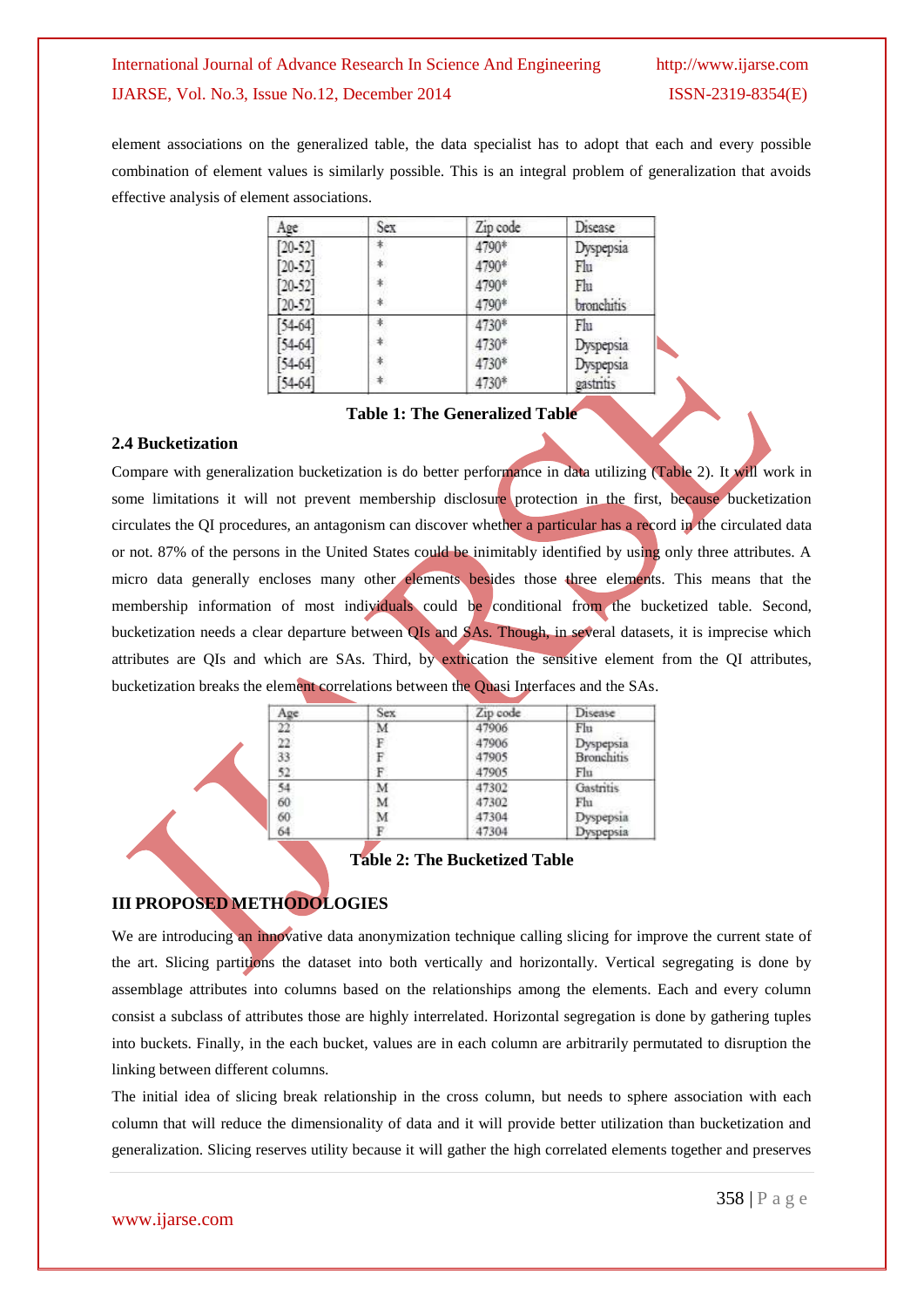element associations on the generalized table, the data specialist has to adopt that each and every possible combination of element values is similarly possible. This is an integral problem of generalization that avoids effective analysis of element associations.

| Age         | Sex | Zip code | Disease           |
|-------------|-----|----------|-------------------|
| $[20 - 52]$ | *.  | 4790*    | Dyspepsia         |
| $[20 - 52]$ | *.  | 4790*    | Flu               |
| $[20 - 52]$ | *   | 4790*    | Flu               |
| $[20 - 52]$ |     | 4790*    | <b>bronchitis</b> |
| $[54-64]$   |     | 4730*    | Flu               |
| $[54-64]$   | ≉.  | 4730*    | Dyspepsia         |
| 54-64       |     | 4730*    | Dyspepsia         |
| 54-64       | ≉.  | 4730*    | gastritis         |

# **Table 1: The Generalized Table**

### **2.4 Bucketization**

Compare with generalization bucketization is do better performance in data utilizing (Table 2). It will work in some limitations it will not prevent membership disclosure protection in the first, because bucketization circulates the QI procedures, an antagonism can discover whether a particular has a record in the circulated data or not. 87% of the persons in the United States could be inimitably identified by using only three attributes. A micro data generally encloses many other elements besides those three elements. This means that the membership information of most individuals could be conditional from the bucketized table. Second, bucketization needs a clear departure between QIs and SAs. Though, in several datasets, it is imprecise which attributes are QIs and which are SAs. Third, by extrication the sensitive element from the QI attributes, bucketization breaks the element correlations between the Quasi Interfaces and the SAs.

| Age                   | Sex. | Zip code | Disease                |
|-----------------------|------|----------|------------------------|
| $\frac{22}{22}$<br>33 | M    | 47906    | Flu                    |
|                       | F    | 47906    | Dyspepsia              |
|                       | F    | 47905    | <b>Bronchitis</b>      |
| 52.                   | F    | 47905    | Flu                    |
|                       | M    | 47302    | Gastritis              |
|                       | M    | 47302    | Fhi                    |
| 54<br>60<br>60<br>64  | M    | 47304    |                        |
|                       |      | 47304    | Dyspepsia<br>Dyspepsia |

# **Table 2: The Bucketized Table**

# **III PROPOSED METHODOLOGIES**

We are introducing an innovative data anonymization technique calling slicing for improve the current state of the art. Slicing partitions the dataset into both vertically and horizontally. Vertical segregating is done by assemblage attributes into columns based on the relationships among the elements. Each and every column consist a subclass of attributes those are highly interrelated. Horizontal segregation is done by gathering tuples into buckets. Finally, in the each bucket, values are in each column are arbitrarily permutated to disruption the linking between different columns.

The initial idea of slicing break relationship in the cross column, but needs to sphere association with each column that will reduce the dimensionality of data and it will provide better utilization than bucketization and generalization. Slicing reserves utility because it will gather the high correlated elements together and preserves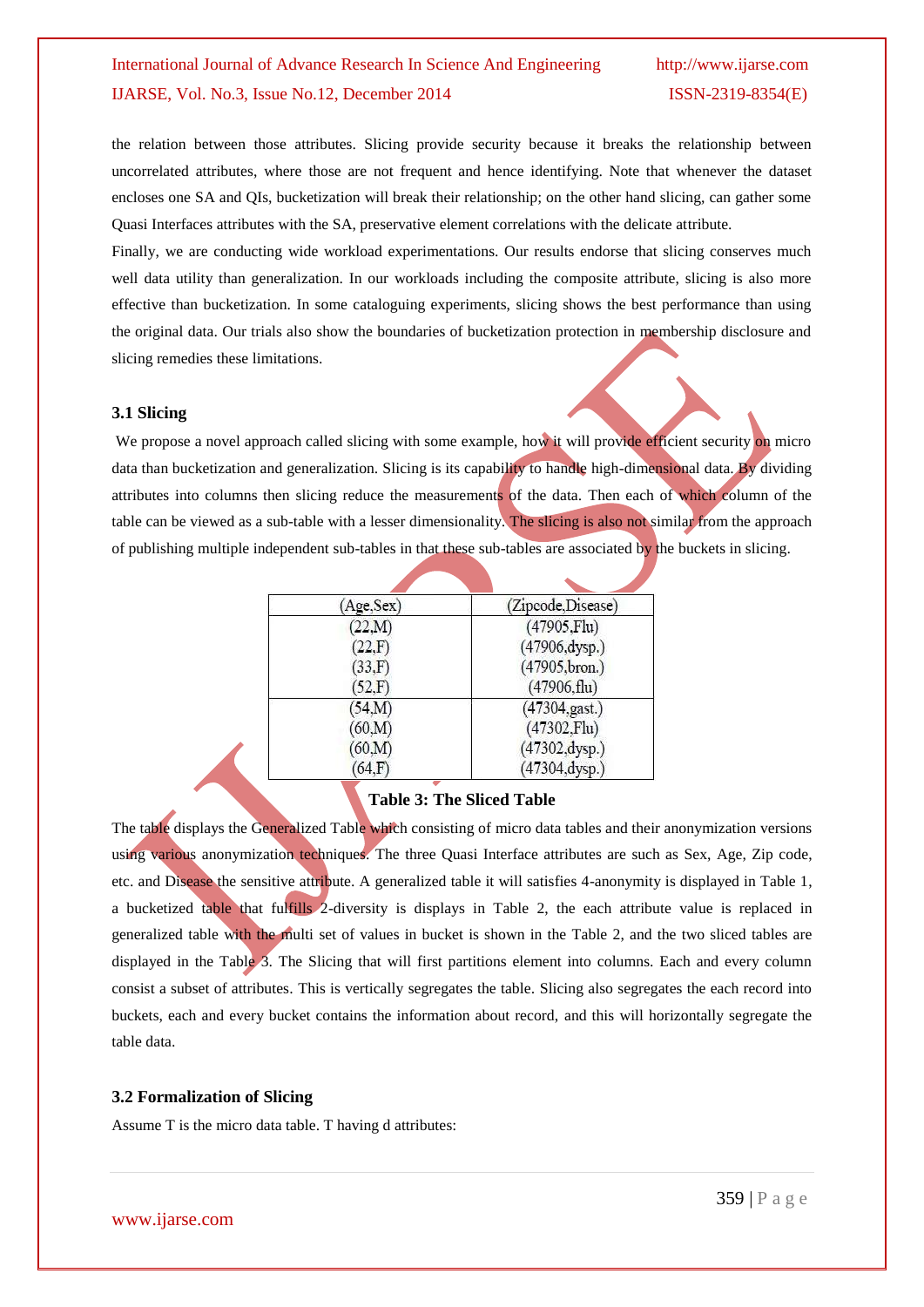the relation between those attributes. Slicing provide security because it breaks the relationship between uncorrelated attributes, where those are not frequent and hence identifying. Note that whenever the dataset encloses one SA and QIs, bucketization will break their relationship; on the other hand slicing, can gather some Quasi Interfaces attributes with the SA, preservative element correlations with the delicate attribute.

Finally, we are conducting wide workload experimentations. Our results endorse that slicing conserves much well data utility than generalization. In our workloads including the composite attribute, slicing is also more effective than bucketization. In some cataloguing experiments, slicing shows the best performance than using the original data. Our trials also show the boundaries of bucketization protection in membership disclosure and slicing remedies these limitations.

#### **3.1 Slicing**

We propose a novel approach called slicing with some example, how it will provide efficient security on micro data than bucketization and generalization. Slicing is its capability to handle high-dimensional data. By dividing attributes into columns then slicing reduce the measurements of the data. Then each of which column of the table can be viewed as a sub-table with a lesser dimensionality. The slicing is also not similar from the approach of publishing multiple independent sub-tables in that these sub-tables are associated by the buckets in slicing.

| Age,Sex) | (Zipcode, Disease)      |
|----------|-------------------------|
| (22,M)   | $(47905$ .Flu)          |
| 22.F     | (47906, dysp.)          |
| (33,F)   | (47905, bron.)          |
| 52,F     | $(47906, \text{flu})$   |
| (54.M)   | $(47304, \text{gast.})$ |
| (60, M)  | $(47302,$ Flu $)$       |
| (60, M)  | (47302, dysp.)          |
| 64.F     | $(47304, \text{dysp.})$ |

### **Table 3: The Sliced Table**

The table displays the Generalized Table which consisting of micro data tables and their anonymization versions using various anonymization techniques. The three Quasi Interface attributes are such as Sex, Age, Zip code, etc. and Disease the sensitive attribute. A generalized table it will satisfies 4-anonymity is displayed in Table 1, a bucketized table that fulfills 2-diversity is displays in Table 2, the each attribute value is replaced in generalized table with the multi set of values in bucket is shown in the Table 2, and the two sliced tables are displayed in the Table 3. The Slicing that will first partitions element into columns. Each and every column consist a subset of attributes. This is vertically segregates the table. Slicing also segregates the each record into buckets, each and every bucket contains the information about record, and this will horizontally segregate the table data.

#### **3.2 Formalization of Slicing**

Assume T is the micro data table. T having d attributes: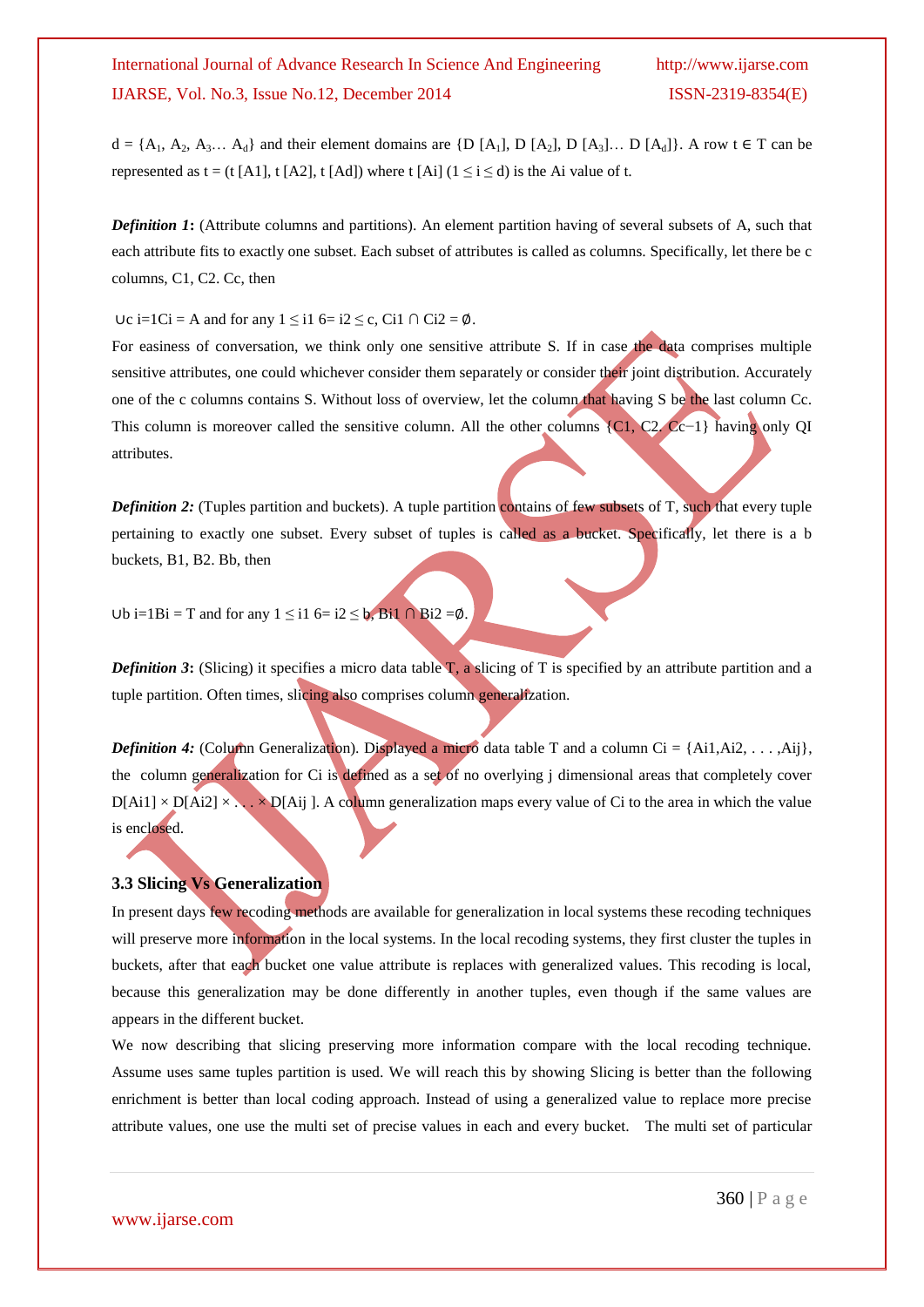$d = \{A_1, A_2, A_3, \ldots, A_d\}$  and their element domains are  $\{D [A_1], D [A_2], D [A_3], \ldots, D [A_d]\}$ . A row  $t \in T$  can be represented as t = (t [A1], t [A2], t [Ad]) where t [Ai] ( $1 \le i \le d$ ) is the Ai value of t.

*Definition 1***:** (Attribute columns and partitions). An element partition having of several subsets of A, such that each attribute fits to exactly one subset. Each subset of attributes is called as columns. Specifically, let there be c columns, C1, C2. Cc, then

Uc i=1Ci = A and for any  $1 \le i1$  6= i2 ≤ c, Ci1 ∩ Ci2 =  $\emptyset$ .

For easiness of conversation, we think only one sensitive attribute S. If in case the data comprises multiple sensitive attributes, one could whichever consider them separately or consider their joint distribution. Accurately one of the c columns contains S. Without loss of overview, let the column that having S be the last column Cc. This column is moreover called the sensitive column. All the other columns {C1, C2. Cc−1} having only QI attributes.

*Definition 2:* (Tuples partition and buckets). A tuple partition contains of few subsets of T, such that every tuple pertaining to exactly one subset. Every subset of tuples is called as a bucket. Specifically, let there is a b buckets, B1, B2. Bb, then

Ub i=1Bi = T and for any  $1 \le i1$  6= i2 ≤ b, Bi1 ∩ Bi2 = $\emptyset$ .

*Definition 3*: (Slicing) it specifies a micro data table  $T$ , a slicing of T is specified by an attribute partition and a tuple partition. Often times, slicing also comprises column generalization.

*Definition 4:* (Column Generalization). Displayed a micro data table T and a column Ci =  $\{Ai1, Ai2, \ldots, Ai\}$ , the column generalization for Ci is defined as a set of no overlying j dimensional areas that completely cover  $D[Ai1] \times D[Ai2] \times \ldots \times D[Ai]$ . A column generalization maps every value of Ci to the area in which the value is enclosed.

### **3.3 Slicing Vs Generalization**

In present days few recoding methods are available for generalization in local systems these recoding techniques will preserve more information in the local systems. In the local recoding systems, they first cluster the tuples in buckets, after that each bucket one value attribute is replaces with generalized values. This recoding is local, because this generalization may be done differently in another tuples, even though if the same values are appears in the different bucket.

We now describing that slicing preserving more information compare with the local recoding technique. Assume uses same tuples partition is used. We will reach this by showing Slicing is better than the following enrichment is better than local coding approach. Instead of using a generalized value to replace more precise attribute values, one use the multi set of precise values in each and every bucket. The multi set of particular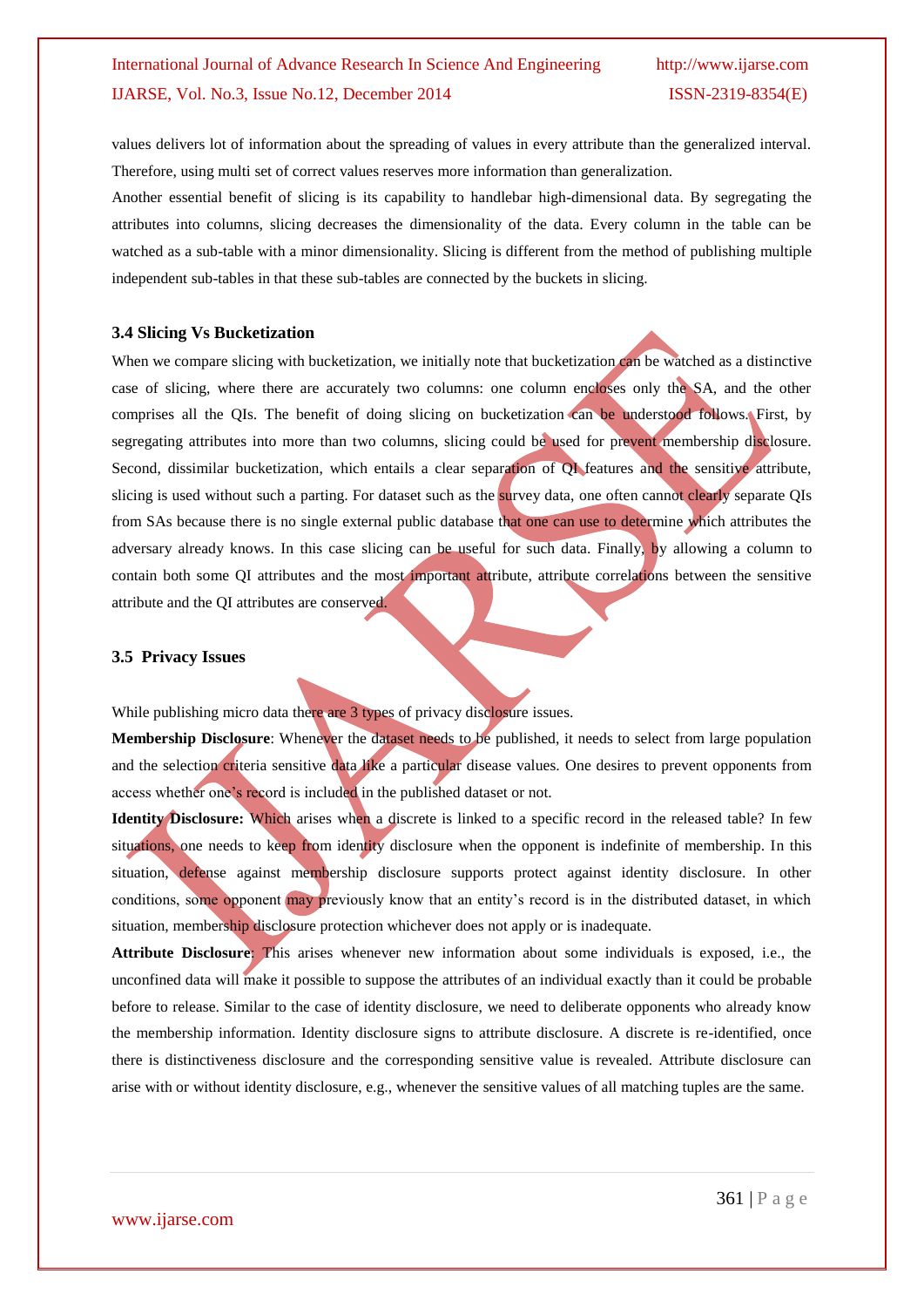values delivers lot of information about the spreading of values in every attribute than the generalized interval. Therefore, using multi set of correct values reserves more information than generalization.

Another essential benefit of slicing is its capability to handlebar high-dimensional data. By segregating the attributes into columns, slicing decreases the dimensionality of the data. Every column in the table can be watched as a sub-table with a minor dimensionality. Slicing is different from the method of publishing multiple independent sub-tables in that these sub-tables are connected by the buckets in slicing.

#### **3.4 Slicing Vs Bucketization**

When we compare slicing with bucketization, we initially note that bucketization can be watched as a distinctive case of slicing, where there are accurately two columns: one column encloses only the SA, and the other comprises all the QIs. The benefit of doing slicing on bucketization can be understood follows. First, by segregating attributes into more than two columns, slicing could be used for prevent membership disclosure. Second, dissimilar bucketization, which entails a clear separation of QI features and the sensitive attribute, slicing is used without such a parting. For dataset such as the survey data, one often cannot clearly separate QIs from SAs because there is no single external public database that one can use to determine which attributes the adversary already knows. In this case slicing can be useful for such data. Finally, by allowing a column to contain both some QI attributes and the most important attribute, attribute correlations between the sensitive attribute and the QI attributes are conserved.

#### **3.5 Privacy Issues**

While publishing micro data there are 3 types of privacy disclosure issues.

**Membership Disclosure**: Whenever the dataset needs to be published, it needs to select from large population and the selection criteria sensitive data like a particular disease values. One desires to prevent opponents from access whether one's record is included in the published dataset or not.

**Identity Disclosure:** Which arises when a discrete is linked to a specific record in the released table? In few situations, one needs to keep from identity disclosure when the opponent is indefinite of membership. In this situation, defense against membership disclosure supports protect against identity disclosure. In other conditions, some opponent may previously know that an entity's record is in the distributed dataset, in which situation, membership disclosure protection whichever does not apply or is inadequate.

**Attribute Disclosure**: This arises whenever new information about some individuals is exposed, i.e., the unconfined data will make it possible to suppose the attributes of an individual exactly than it could be probable before to release. Similar to the case of identity disclosure, we need to deliberate opponents who already know the membership information. Identity disclosure signs to attribute disclosure. A discrete is re-identified, once there is distinctiveness disclosure and the corresponding sensitive value is revealed. Attribute disclosure can arise with or without identity disclosure, e.g., whenever the sensitive values of all matching tuples are the same.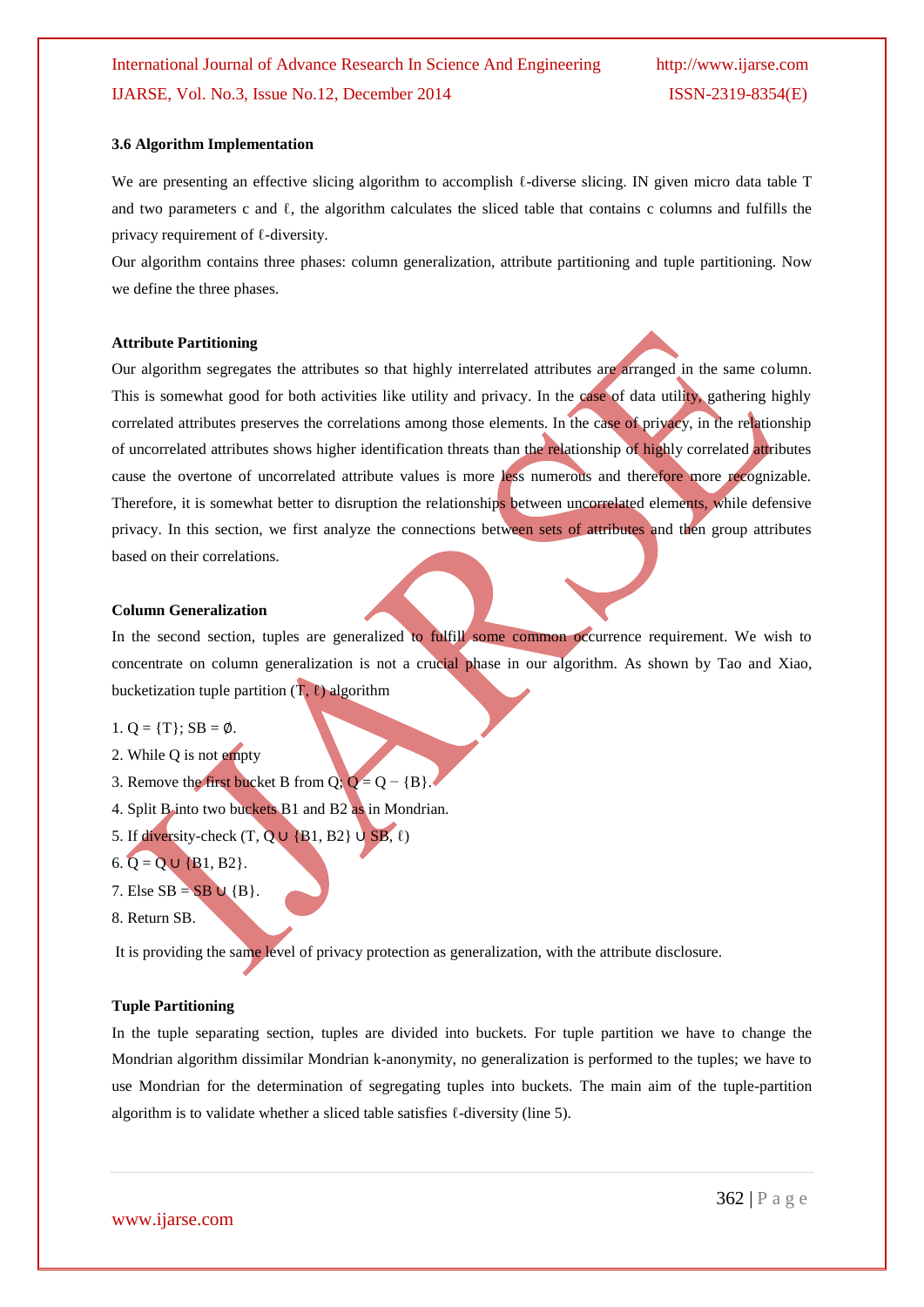#### **3.6 Algorithm Implementation**

We are presenting an effective slicing algorithm to accomplish *l*-diverse slicing. IN given micro data table T and two parameters c and  $\ell$ , the algorithm calculates the sliced table that contains c columns and fulfills the privacy requirement of ℓ-diversity.

Our algorithm contains three phases: column generalization, attribute partitioning and tuple partitioning. Now we define the three phases.

#### **Attribute Partitioning**

Our algorithm segregates the attributes so that highly interrelated attributes are arranged in the same column. This is somewhat good for both activities like utility and privacy. In the case of data utility, gathering highly correlated attributes preserves the correlations among those elements. In the case of privacy, in the relationship of uncorrelated attributes shows higher identification threats than the relationship of highly correlated attributes cause the overtone of uncorrelated attribute values is more less numerous and therefore more recognizable. Therefore, it is somewhat better to disruption the relationships between uncorrelated elements, while defensive privacy. In this section, we first analyze the connections between sets of attributes and then group attributes based on their correlations.

#### **Column Generalization**

In the second section, tuples are generalized to fulfill some common occurrence requirement. We wish to concentrate on column generalization is not a crucial phase in our algorithm. As shown by Tao and Xiao, bucketization tuple partition  $(T, \ell)$  algorithm

- 1.  $Q = \{T\}$ ; SB = Ø.
- 2. While Q is not empty
- 3. Remove the first bucket B from Q;  $Q = Q {B}$ .
- 4. Split B into two buckets B1 and B2 as in Mondrian.
- 5. If diversity-check  $(T, Q \cup \{B1, B2\} \cup SB, \ell)$
- 6. Q = Q ∪ {B1, B2}.
- 7. Else  $SB = SB \cup \{B\}.$
- 8. Return SB.

It is providing the same level of privacy protection as generalization, with the attribute disclosure.

#### **Tuple Partitioning**

In the tuple separating section, tuples are divided into buckets. For tuple partition we have to change the Mondrian algorithm dissimilar Mondrian k-anonymity, no generalization is performed to the tuples; we have to use Mondrian for the determination of segregating tuples into buckets. The main aim of the tuple-partition algorithm is to validate whether a sliced table satisfies ℓ-diversity (line 5).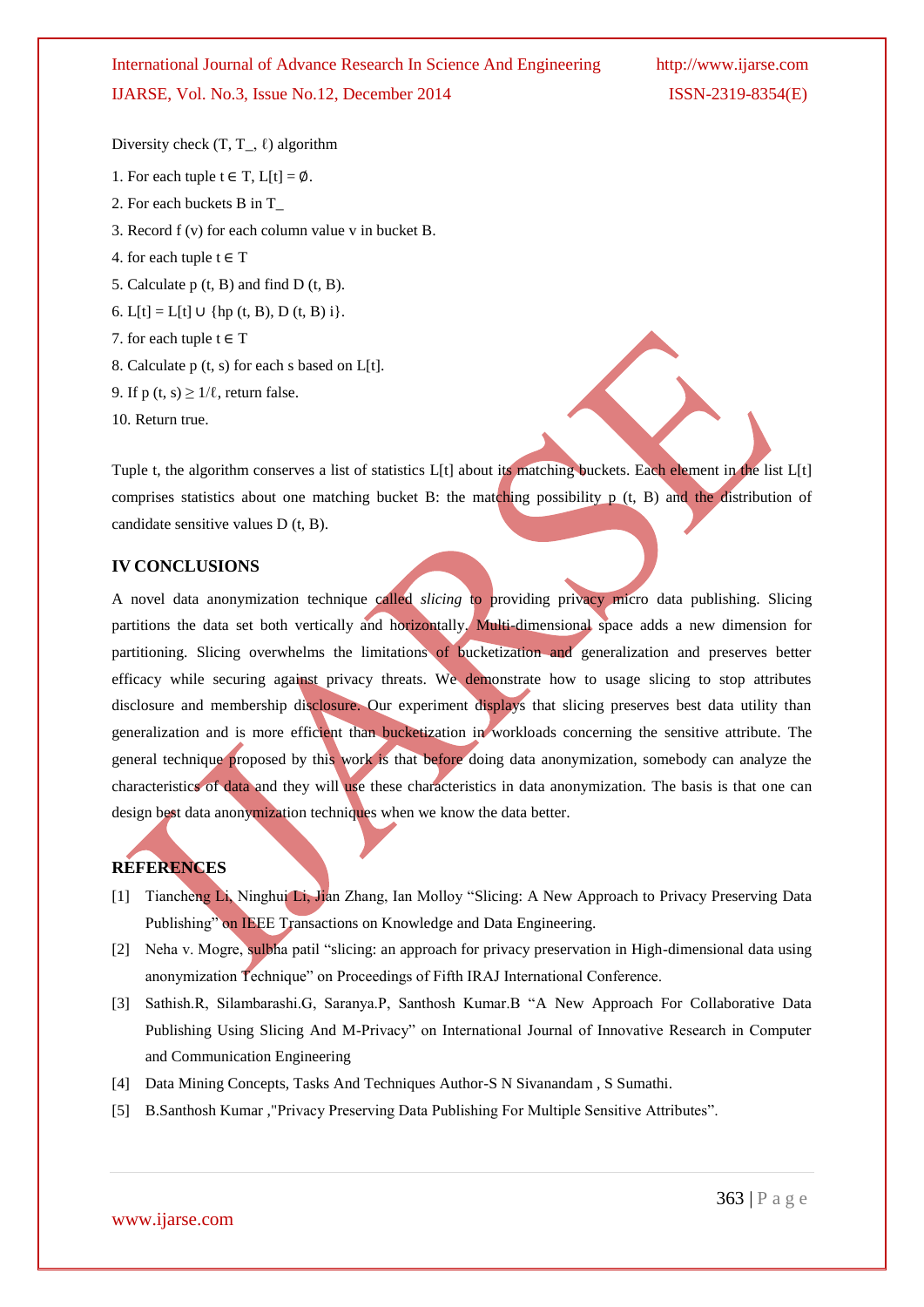Diversity check  $(T, T_-, \ell)$  algorithm

- 1. For each tuple  $t \in T$ ,  $L[t] = \emptyset$ .
- 2. For each buckets B in T\_
- 3. Record f (v) for each column value v in bucket B.
- 4. for each tuple  $t \in T$
- 5. Calculate p (t, B) and find D (t, B).
- 6. L[t] = L[t]  $\cup$  {hp (t, B), D (t, B) i}.
- 7. for each tuple  $t \in T$
- 8. Calculate p (t, s) for each s based on L[t].
- 9. If  $p(t, s) \ge 1/\ell$ , return false.
- 10. Return true.

Tuple t, the algorithm conserves a list of statistics L[t] about its matching buckets. Each element in the list L[t] comprises statistics about one matching bucket B: the matching possibility  $p$  (t, B) and the distribution of candidate sensitive values D (t, B).

### **IV CONCLUSIONS**

A novel data anonymization technique called *slicing* to providing privacy micro data publishing. Slicing partitions the data set both vertically and horizontally. Multi-dimensional space adds a new dimension for partitioning. Slicing overwhelms the limitations of bucketization and generalization and preserves better efficacy while securing against privacy threats. We demonstrate how to usage slicing to stop attributes disclosure and membership disclosure. Our experiment displays that slicing preserves best data utility than generalization and is more efficient than bucketization in workloads concerning the sensitive attribute. The general technique proposed by this work is that before doing data anonymization, somebody can analyze the characteristics of data and they will use these characteristics in data anonymization. The basis is that one can design best data anonymization techniques when we know the data better.

# **REFERENCES**

- [1] Tiancheng Li, Ninghui Li, Jian Zhang, Ian Molloy "Slicing: A New Approach to Privacy Preserving Data Publishing" on IEEE Transactions on Knowledge and Data Engineering.
- [2] Neha v. Mogre, sulbha patil "slicing: an approach for privacy preservation in High-dimensional data using anonymization Technique" on Proceedings of Fifth IRAJ International Conference.
- [3] Sathish.R, Silambarashi.G, Saranya.P, Santhosh Kumar.B "A New Approach For Collaborative Data Publishing Using Slicing And M-Privacy" on International Journal of Innovative Research in Computer and Communication Engineering
- [4] Data Mining Concepts, Tasks And Techniques Author-S N Sivanandam , S Sumathi.
- [5] B.Santhosh Kumar ,"Privacy Preserving Data Publishing For Multiple Sensitive Attributes".